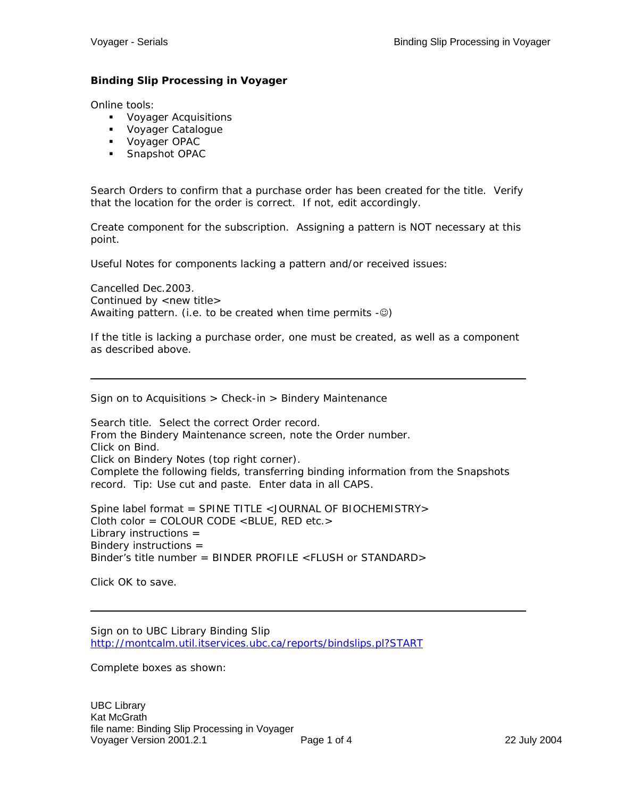#### **Binding Slip Processing in Voyager**

Online tools:

- **Voyager Acquisitions**
- **Voyager Catalogue**
- Voyager OPAC
- **Snapshot OPAC**

Search Orders to confirm that a purchase order has been created for the title. Verify that the location for the order is correct. If not, edit accordingly.

Create component for the subscription. Assigning a pattern is NOT necessary at this point.

Useful Notes for components lacking a pattern and/or received issues:

Cancelled Dec.2003. Continued by  $\langle$  new title $\rangle$ Awaiting pattern. (i.e. to be created when time permits  $-\mathcal{O}$ )

If the title is lacking a purchase order, one must be created, as well as a component as described above.

Sign on to Acquisitions > Check-in > Bindery Maintenance

Search title. Select the correct Order record. From the Bindery Maintenance screen, note the Order number. Click on Bind. Click on Bindery Notes (top right corner). Complete the following fields, transferring binding information from the Snapshots record. Tip: Use cut and paste. Enter data in all CAPS.

Spine label format = SPINE TITLE <JOURNAL OF BIOCHEMISTRY> Cloth color = COLOUR CODE <BLUE, RED etc.> Library instructions = Bindery instructions = Binder's title number = BINDER PROFILE <FLUSH or STANDARD>

Click OK to save.

Sign on to UBC Library Binding Slip <http://montcalm.util.itservices.ubc.ca/reports/bindslips.pl?START>

Complete boxes as shown: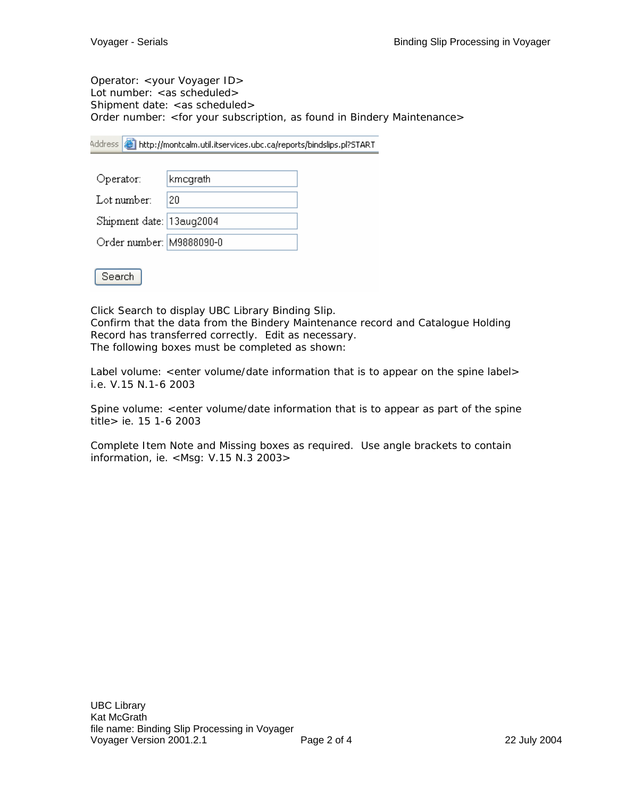Operator: <your Voyager ID> Lot number: < as scheduled> Shipment date: <as scheduled> Order number: <for your subscription, as found in Bindery Maintenance>

Address **6** http://montcalm.util.itservices.ubc.ca/reports/bindslips.pl?START

| Operator:                | kmcgrath |
|--------------------------|----------|
| Lot number:              | 120      |
| Shipment date: 13aug2004 |          |
| Order number: M9888090-0 |          |



Click Search to display UBC Library Binding Slip. Confirm that the data from the Bindery Maintenance record and Catalogue Holding Record has transferred correctly. Edit as necessary. The following boxes must be completed as shown:

Label volume: <enter volume/date information that is to appear on the spine label> i.e. V.15 N.1-6 2003

Spine volume: <enter volume/date information that is to appear as part of the spine title> ie. 15 1-6 2003

Complete Item Note and Missing boxes as required. Use angle brackets to contain information, ie. <Msg: V.15 N.3 2003>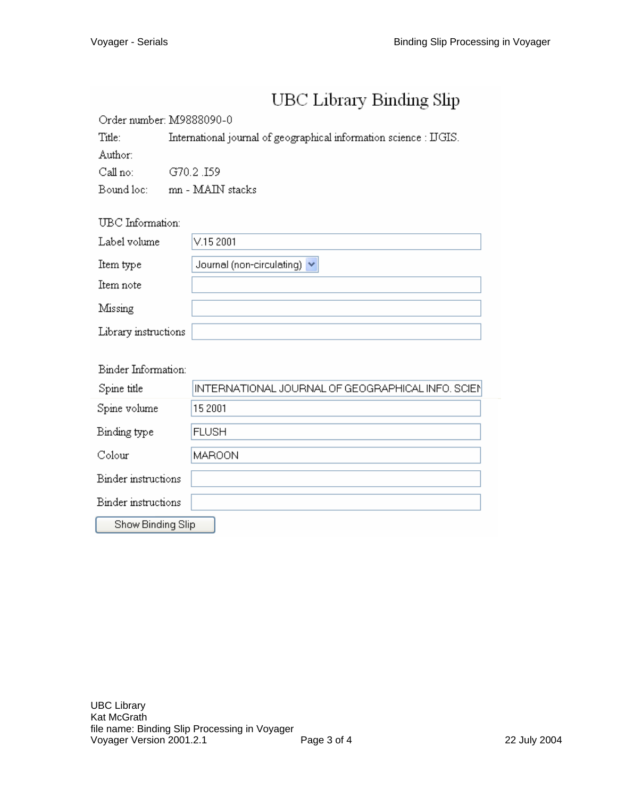# UBC Library Binding Slip

#### Order number: M9888090-0

Title: International journal of geographical information science : IJGIS.

Author: Call no:

G70.2.I59

Bound loc: mn - MAIN stacks

## UBC Information:

| Label volume         | V.152001                         |
|----------------------|----------------------------------|
| Item type            | Journal (non-circulating) $\vee$ |
| Item note            |                                  |
| Missing              |                                  |
| Library instructions |                                  |

| Binger information: |                                                   |  |
|---------------------|---------------------------------------------------|--|
| Spine title         | INTERNATIONAL JOURNAL OF GEOGRAPHICAL INFO. SCIEN |  |
| Spine volume        | 15 2001                                           |  |
| Binding type        | <b>FLUSH</b>                                      |  |
| Colour              | <b>MAROON</b>                                     |  |
| Binder instructions |                                                   |  |
| Binder instructions |                                                   |  |
| Show Binding Slip   |                                                   |  |